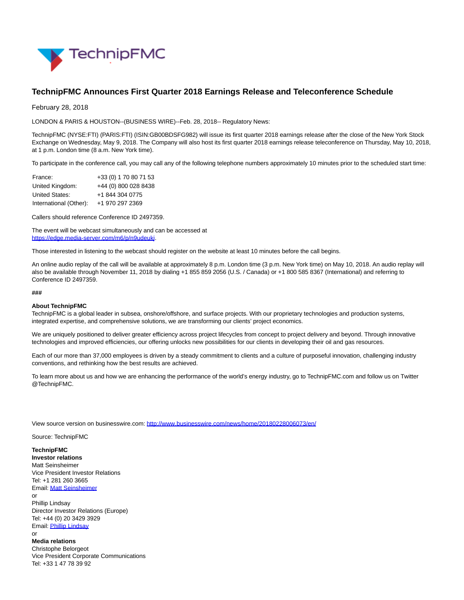

## **TechnipFMC Announces First Quarter 2018 Earnings Release and Teleconference Schedule**

February 28, 2018

LONDON & PARIS & HOUSTON--(BUSINESS WIRE)--Feb. 28, 2018-- Regulatory News:

TechnipFMC (NYSE:FTI) (PARIS:FTI) (ISIN:GB00BDSFG982) will issue its first quarter 2018 earnings release after the close of the New York Stock Exchange on Wednesday, May 9, 2018. The Company will also host its first quarter 2018 earnings release teleconference on Thursday, May 10, 2018, at 1 p.m. London time (8 a.m. New York time).

To participate in the conference call, you may call any of the following telephone numbers approximately 10 minutes prior to the scheduled start time:

| France:                | +33 (0) 1 70 80 71 53 |
|------------------------|-----------------------|
| United Kingdom:        | +44 (0) 800 028 8438  |
| United States:         | +1 844 304 0775       |
| International (Other): | +1 970 297 2369       |

Callers should reference Conference ID 2497359.

The event will be webcast simultaneously and can be accessed at [https://edge.media-server.com/m6/p/n9udeukj.](http://cts.businesswire.com/ct/CT?id=smartlink&url=https%3A%2F%2Furldefense.proofpoint.com%2Fv2%2Furl%3Fu%3Dhttps-3A__edge.media-2Dserver.com_m6_p_n9udeukj%26d%3DDwMFAg%26c%3Dr_B2dqKkHczsuXPCSs5DOw%26r%3Dz9yyawX_Pv_TKlAFwZJxGBxxMtZk6AnfczpsGaRCIGA%26m%3DlLCoAkKwQOHg06ds-uOzF9rExEm0opicoCcoYnlfXug%26s%3DGi8ZskfSetw0NVxw0eIv_DuJOFByvJBiV_XuFHua6QE%26e%3D&esheet=51766075&newsitemid=20180228006073&lan=en-US&anchor=https%3A%2F%2Fedge.media-server.com%2Fm6%2Fp%2Fn9udeukj&index=1&md5=48259c01b1e4c0339a10083b1abf8ec5)

Those interested in listening to the webcast should register on the website at least 10 minutes before the call begins.

An online audio replay of the call will be available at approximately 8 p.m. London time (3 p.m. New York time) on May 10, 2018. An audio replay will also be available through November 11, 2018 by dialing +1 855 859 2056 (U.S. / Canada) or +1 800 585 8367 (International) and referring to Conference ID 2497359.

## **###**

## **About TechnipFMC**

TechnipFMC is a global leader in subsea, onshore/offshore, and surface projects. With our proprietary technologies and production systems, integrated expertise, and comprehensive solutions, we are transforming our clients' project economics.

We are uniquely positioned to deliver greater efficiency across project lifecycles from concept to project delivery and beyond. Through innovative technologies and improved efficiencies, our offering unlocks new possibilities for our clients in developing their oil and gas resources.

Each of our more than 37,000 employees is driven by a steady commitment to clients and a culture of purposeful innovation, challenging industry conventions, and rethinking how the best results are achieved.

To learn more about us and how we are enhancing the performance of the world's energy industry, go to TechnipFMC.com and follow us on Twitter @TechnipFMC.

View source version on businesswire.com:<http://www.businesswire.com/news/home/20180228006073/en/>

Source: TechnipFMC

**TechnipFMC**

**Investor relations** Matt Seinsheimer Vice President Investor Relations Tel: +1 281 260 3665 Email[: Matt Seinsheimer](mailto:InvestorRelations@TechnipFMC.com) or Phillip Lindsay Director Investor Relations (Europe) Tel: +44 (0) 20 3429 3929 Email[: Phillip Lindsay](mailto:InvestorRelations@TechnipFMC.com) or

**Media relations** Christophe Belorgeot Vice President Corporate Communications Tel: +33 1 47 78 39 92